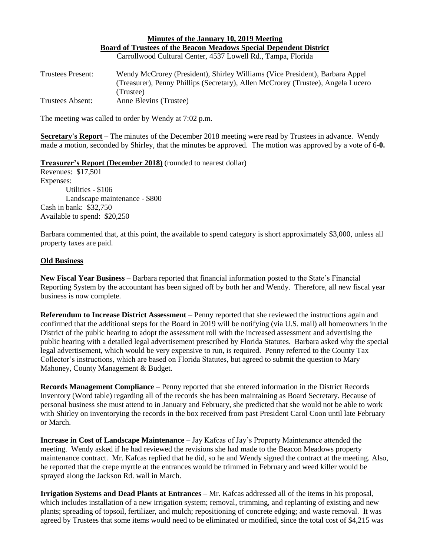## **Minutes of the January 10, 2019 Meeting Board of Trustees of the Beacon Meadows Special Dependent District** Carrollwood Cultural Center, 4537 Lowell Rd., Tampa, Florida

| Trustees Present: | Wendy McCrorey (President), Shirley Williams (Vice President), Barbara Appel     |
|-------------------|----------------------------------------------------------------------------------|
|                   | (Treasurer), Penny Phillips (Secretary), Allen McCrorey (Trustee), Angela Lucero |
|                   | (Trustee)                                                                        |
| Trustees Absent:  | Anne Blevins (Trustee)                                                           |

The meeting was called to order by Wendy at 7:02 p.m.

**Secretary's Report** – The minutes of the December 2018 meeting were read by Trustees in advance. Wendy made a motion, seconded by Shirley, that the minutes be approved. The motion was approved by a vote of 6**-0.**

## **Treasurer's Report (December 2018)** (rounded to nearest dollar)

Revenues: \$17,501 Expenses: Utilities - \$106 Landscape maintenance - \$800 Cash in bank: \$32,750 Available to spend: \$20,250

Barbara commented that, at this point, the available to spend category is short approximately \$3,000, unless all property taxes are paid.

## **Old Business**

**New Fiscal Year Business** – Barbara reported that financial information posted to the State's Financial Reporting System by the accountant has been signed off by both her and Wendy. Therefore, all new fiscal year business is now complete.

**Referendum to Increase District Assessment** – Penny reported that she reviewed the instructions again and confirmed that the additional steps for the Board in 2019 will be notifying (via U.S. mail) all homeowners in the District of the public hearing to adopt the assessment roll with the increased assessment and advertising the public hearing with a detailed legal advertisement prescribed by Florida Statutes. Barbara asked why the special legal advertisement, which would be very expensive to run, is required. Penny referred to the County Tax Collector's instructions, which are based on Florida Statutes, but agreed to submit the question to Mary Mahoney, County Management & Budget.

**Records Management Compliance** – Penny reported that she entered information in the District Records Inventory (Word table) regarding all of the records she has been maintaining as Board Secretary. Because of personal business she must attend to in January and February, she predicted that she would not be able to work with Shirley on inventorying the records in the box received from past President Carol Coon until late February or March.

**Increase in Cost of Landscape Maintenance** – Jay Kafcas of Jay's Property Maintenance attended the meeting. Wendy asked if he had reviewed the revisions she had made to the Beacon Meadows property maintenance contract. Mr. Kafcas replied that he did, so he and Wendy signed the contract at the meeting. Also, he reported that the crepe myrtle at the entrances would be trimmed in February and weed killer would be sprayed along the Jackson Rd. wall in March.

**Irrigation Systems and Dead Plants at Entrances** – Mr. Kafcas addressed all of the items in his proposal, which includes installation of a new irrigation system; removal, trimming, and replanting of existing and new plants; spreading of topsoil, fertilizer, and mulch; repositioning of concrete edging; and waste removal. It was agreed by Trustees that some items would need to be eliminated or modified, since the total cost of \$4,215 was